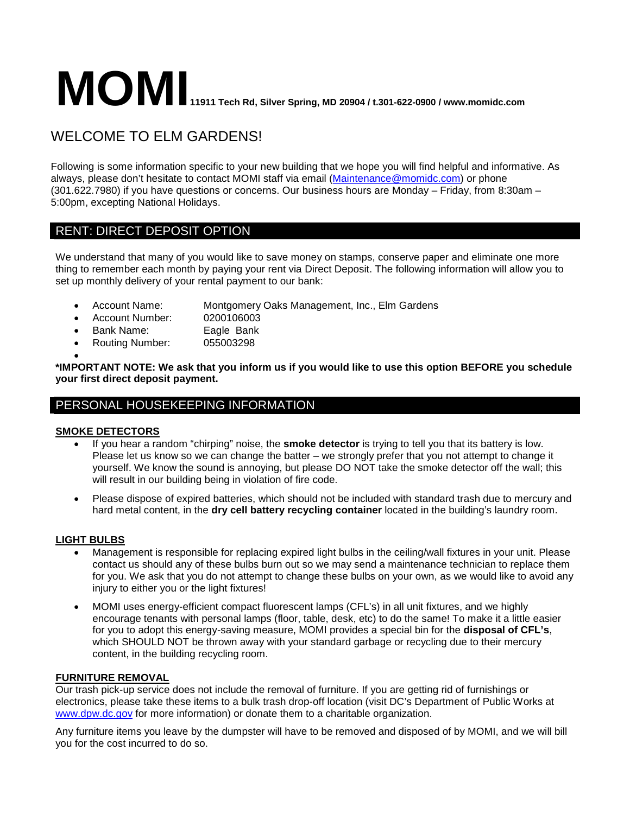# **MOMI**11911 Tech Rd, Silver Spring, MD 20904 / t.301-622-0900 / www.momidc.com

## WELCOME TO ELM GARDENS!

Following is some information specific to your new building that we hope you will find helpful and informative. As always, please don't hesitate to contact MOMI staff via email [\(Maintenance@momidc.com\)](mailto:Maintenance@momidc.com) or phone (301.622.7980) if you have questions or concerns. Our business hours are Monday – Friday, from 8:30am – 5:00pm, excepting National Holidays.

## RENT: DIRECT DEPOSIT OPTION

We understand that many of you would like to save money on stamps, conserve paper and eliminate one more thing to remember each month by paying your rent via Direct Deposit. The following information will allow you to set up monthly delivery of your rental payment to our bank:

• Account Name: Montgomery Oaks Management, Inc., Elm Gardens

- Account Number: 0200106003
- Bank Name: Eagle Bank
- Routing Number: 055003298

• **\*IMPORTANT NOTE: We ask that you inform us if you would like to use this option BEFORE you schedule your first direct deposit payment.** 

## PERSONAL HOUSEKEEPING INFORMATION

#### **SMOKE DETECTORS**

- If you hear a random "chirping" noise, the **smoke detector** is trying to tell you that its battery is low. Please let us know so we can change the batter – we strongly prefer that you not attempt to change it yourself. We know the sound is annoying, but please DO NOT take the smoke detector off the wall; this will result in our building being in violation of fire code.
- Please dispose of expired batteries, which should not be included with standard trash due to mercury and hard metal content, in the **dry cell battery recycling container** located in the building's laundry room.

#### **LIGHT BULBS**

- Management is responsible for replacing expired light bulbs in the ceiling/wall fixtures in your unit. Please contact us should any of these bulbs burn out so we may send a maintenance technician to replace them for you. We ask that you do not attempt to change these bulbs on your own, as we would like to avoid any injury to either you or the light fixtures!
- MOMI uses energy-efficient compact fluorescent lamps (CFL's) in all unit fixtures, and we highly encourage tenants with personal lamps (floor, table, desk, etc) to do the same! To make it a little easier for you to adopt this energy-saving measure, MOMI provides a special bin for the **disposal of CFL's**, which SHOULD NOT be thrown away with your standard garbage or recycling due to their mercury content, in the building recycling room.

#### **FURNITURE REMOVAL**

Our trash pick-up service does not include the removal of furniture. If you are getting rid of furnishings or electronics, please take these items to a bulk trash drop-off location (visit DC's Department of Public Works at [www.dpw.dc.gov](http://www.dpw.dc.gov/) for more information) or donate them to a charitable organization.

Any furniture items you leave by the dumpster will have to be removed and disposed of by MOMI, and we will bill you for the cost incurred to do so.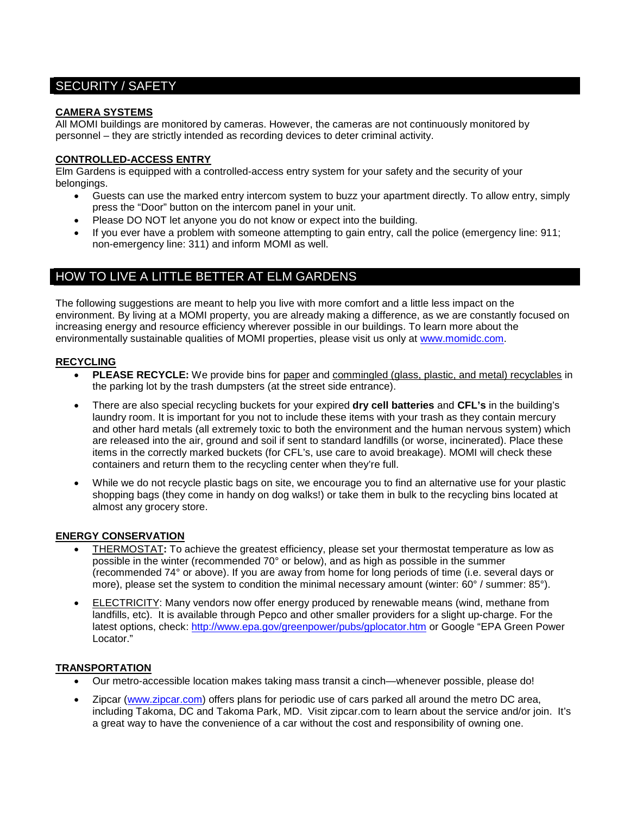## SECURITY / SAFETY

#### **CAMERA SYSTEMS**

All MOMI buildings are monitored by cameras. However, the cameras are not continuously monitored by personnel – they are strictly intended as recording devices to deter criminal activity.

#### **CONTROLLED-ACCESS ENTRY**

Elm Gardens is equipped with a controlled-access entry system for your safety and the security of your belongings.

- Guests can use the marked entry intercom system to buzz your apartment directly. To allow entry, simply press the "Door" button on the intercom panel in your unit.
- Please DO NOT let anyone you do not know or expect into the building.
- If you ever have a problem with someone attempting to gain entry, call the police (emergency line: 911; non-emergency line: 311) and inform MOMI as well.

### HOW TO LIVE A LITTLE BETTER AT ELM GARDENS

The following suggestions are meant to help you live with more comfort and a little less impact on the environment. By living at a MOMI property, you are already making a difference, as we are constantly focused on increasing energy and resource efficiency wherever possible in our buildings. To learn more about the environmentally sustainable qualities of MOMI properties, please visit us only at [www.momidc.com.](http://www.momidc.com/)

#### **RECYCLING**

- **PLEASE RECYCLE:** We provide bins for paper and commingled (glass, plastic, and metal) recyclables in the parking lot by the trash dumpsters (at the street side entrance).
- There are also special recycling buckets for your expired **dry cell batteries** and **CFL's** in the building's laundry room. It is important for you not to include these items with your trash as they contain mercury and other hard metals (all extremely toxic to both the environment and the human nervous system) which are released into the air, ground and soil if sent to standard landfills (or worse, incinerated). Place these items in the correctly marked buckets (for CFL's, use care to avoid breakage). MOMI will check these containers and return them to the recycling center when they're full.
- While we do not recycle plastic bags on site, we encourage you to find an alternative use for your plastic shopping bags (they come in handy on dog walks!) or take them in bulk to the recycling bins located at almost any grocery store.

#### **ENERGY CONSERVATION**

- THERMOSTAT**:** To achieve the greatest efficiency, please set your thermostat temperature as low as possible in the winter (recommended 70° or below), and as high as possible in the summer (recommended 74° or above). If you are away from home for long periods of time (i.e. several days or more), please set the system to condition the minimal necessary amount (winter: 60° / summer: 85°).
- ELECTRICITY: Many vendors now offer energy produced by renewable means (wind, methane from landfills, etc). It is available through Pepco and other smaller providers for a slight up-charge. For the latest options, check:<http://www.epa.gov/greenpower/pubs/gplocator.htm> or Google "EPA Green Power Locator."

#### **TRANSPORTATION**

- Our metro-accessible location makes taking mass transit a cinch—whenever possible, please do!
- Zipcar [\(www.zipcar.com\)](http://www.zipcar.com/) offers plans for periodic use of cars parked all around the metro DC area, including Takoma, DC and Takoma Park, MD. Visit zipcar.com to learn about the service and/or join. It's a great way to have the convenience of a car without the cost and responsibility of owning one.